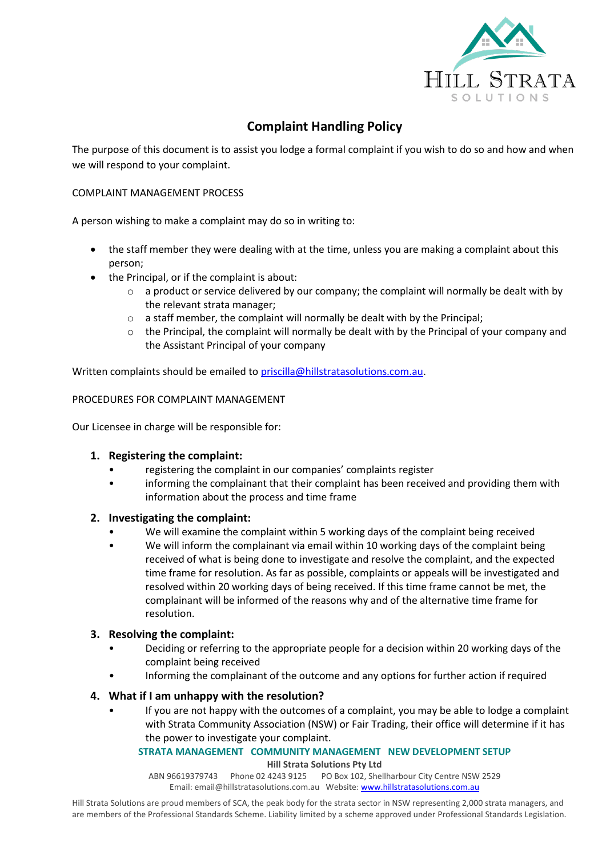

# **Complaint Handling Policy**

The purpose of this document is to assist you lodge a formal complaint if you wish to do so and how and when we will respond to your complaint.

# COMPLAINT MANAGEMENT PROCESS

A person wishing to make a complaint may do so in writing to:

- the staff member they were dealing with at the time, unless you are making a complaint about this person;
- the Principal, or if the complaint is about:
	- o a product or service delivered by our company; the complaint will normally be dealt with by the relevant strata manager;
	- o a staff member, the complaint will normally be dealt with by the Principal;
	- o the Principal, the complaint will normally be dealt with by the Principal of your company and the Assistant Principal of your company

Written complaints should be emailed to [priscilla@hillstratasolutions.com.au.](mailto:priscilla@hillstratasolutions.com.au)

#### PROCEDURES FOR COMPLAINT MANAGEMENT

Our Licensee in charge will be responsible for:

# **1. Registering the complaint:**

- registering the complaint in our companies' complaints register
- informing the complainant that their complaint has been received and providing them with information about the process and time frame

# **2. Investigating the complaint:**

- We will examine the complaint within 5 working days of the complaint being received
- We will inform the complainant via email within 10 working days of the complaint being received of what is being done to investigate and resolve the complaint, and the expected time frame for resolution. As far as possible, complaints or appeals will be investigated and resolved within 20 working days of being received. If this time frame cannot be met, the complainant will be informed of the reasons why and of the alternative time frame for resolution.

# **3. Resolving the complaint:**

- Deciding or referring to the appropriate people for a decision within 20 working days of the complaint being received
- Informing the complainant of the outcome and any options for further action if required

# **4. What if I am unhappy with the resolution?**

• If you are not happy with the outcomes of a complaint, you may be able to lodge a complaint with Strata Community Association (NSW) or Fair Trading, their office will determine if it has the power to investigate your complaint.

#### **STRATA MANAGEMENT COMMUNITY MANAGEMENT NEW DEVELOPMENT SETUP Hill Strata Solutions Pty Ltd**

ABN 96619379743 Phone 02 4243 9125 PO Box 102, Shellharbour City Centre NSW 2529 Email: [email@hillstratasolutions.com.au](mailto:email@hillstratasolutions.com.au) Website: [www.hillstratasolutions.com.au](http://www.hillstratasolutions.com.au/)

Hill Strata Solutions are proud members of SCA, the peak body for the strata sector in NSW representing 2,000 strata managers, and are members of the Professional Standards Scheme. Liability limited by a scheme approved under Professional Standards Legislation.